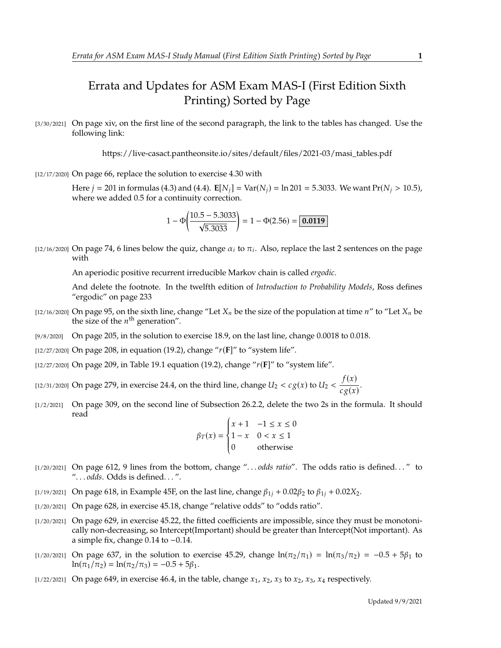## Errata and Updates for ASM Exam MAS-I (First Edition Sixth Printing) Sorted by Page

[3/30/2021] On page xiv, on the first line of the second paragraph, the link to the tables has changed. Use the following link:

https://live-casact.pantheonsite.io/sites/default/files/2021-03/masi\_tables.pdf

[12/17/2020] On page 66, replace the solution to exercise 4.30 with

Here  $j = 201$  in formulas (4.3) and (4.4).  $\mathbf{E}[N_j] = \text{Var}(N_j) = \ln 201 = 5.3033$ . We want  $\text{Pr}(N_j > 10.5)$ , where we added 0.5 for a continuity correction.

$$
1 - \Phi\left(\frac{10.5 - 5.3033}{\sqrt{5.3033}}\right) = 1 - \Phi(2.56) = \boxed{0.0119}
$$

[12/16/2020] On page 74, 6 lines below the quiz, change  $\alpha_i$  to  $\pi_i$ . Also, replace the last 2 sentences on the page with

An aperiodic positive recurrent irreducible Markov chain is called *ergodic*.

And delete the footnote. In the twelfth edition of *Introduction to Probability Models*, Ross defines "ergodic" on page 233

- [12/16/2020] On page 95, on the sixth line, change "Let  $X_n$  be the size of the population at time  $n''$  to "Let  $X_n$  be the size of the  $n^{\text{th}}$  generation".
- [9/8/2020] On page 205, in the solution to exercise 18.9, on the last line, change 0.0018 to 0.018.
- [12/27/2020] On page 208, in equation (19.2), change " $r(F)$ " to "system life".
- [12/27/2020] On page 209, in Table 19.1 equation (19.2), change "(**F**]" to "system life".
- [12/31/2020] On page 279, in exercise 24.4, on the third line, change  $U_2 < c g(x)$  to  $U_2 < \frac{f(x)}{c g(x)}$  $\frac{f(x)}{c g(x)}$ .
- [1/2/2021] On page 309, on the second line of Subsection 26.2.2, delete the two 2s in the formula. It should read

$$
\beta_T(x) = \begin{cases} x+1 & -1 \le x \le 0 \\ 1-x & 0 < x \le 1 \\ 0 & \text{otherwise} \end{cases}
$$

- J. [1/20/2021] On page 612, 9 lines from the bottom, change ". . . *odds ratio*". The odds ratio is defined. . . " to ". . . *odds*. Odds is defined. . . ".
- [1/19/2021] On page 618, in Example 45F, on the last line, change  $\beta_{1i} + 0.02\beta_2$  to  $\beta_{1i} + 0.02X_2$ .
- [1/20/2021] On page 628, in exercise 45.18, change "relative odds" to "odds ratio".
- [1/20/2021] On page 629, in exercise 45.22, the fitted coefficients are impossible, since they must be monotonically non-decreasing, so Intercept(Important) should be greater than Intercept(Not important). As a simple fix, change <sup>0</sup>.<sup>14</sup> to <sup>−</sup>0.14.
- [1/20/2021] On page 637, in the solution to exercise 45.29, change  $ln(\pi_2/\pi_1) = ln(\pi_3/\pi_2) = -0.5 + 5\beta_1$  to  $ln(\pi_1/\pi_2) = ln(\pi_2/\pi_3) = -0.5 + 5\beta_1.$
- [1/22/2021] On page 649, in exercise 46.4, in the table, change  $x_1$ ,  $x_2$ ,  $x_3$  to  $x_2$ ,  $x_3$ ,  $x_4$  respectively.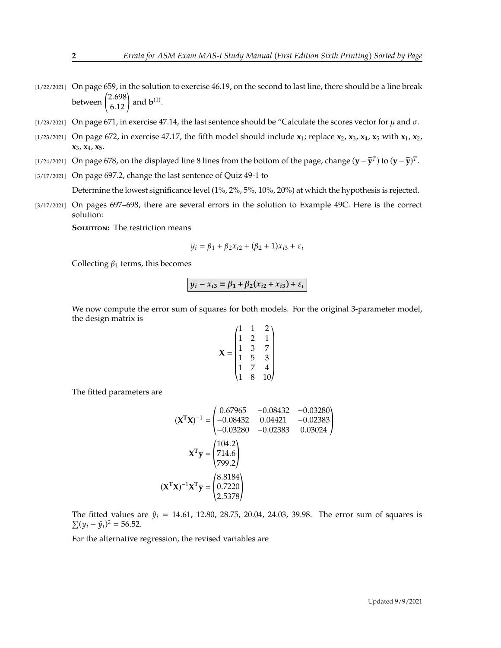- $[1/22/2021]$  On page 659, in the solution to exercise 46.19, on the second to last line, there should be a line break between  $\binom{2.698}{6.12}$  and **b**<sup>(1)</sup>.
- [1/23/2021] On page 671, in exercise 47.14, the last sentence should be "Calculate the scores vector for  $\mu$  and  $\sigma$ .
- [1/23/2021] On page 672, in exercise 47.17, the fifth model should include **x**1; replace **x**2, **x**3, **x**4, **x**<sup>5</sup> with **x**1, **x**2, **x**3, **x**4, **x**5.
- [1/24/2021] On page 678, on the displayed line 8 lines from the bottom of the page, change  $(\mathbf{y} \widehat{\mathbf{y}}^T)$  to  $(\mathbf{y} \widehat{\mathbf{y}})^T$ .
- [3/17/2021] On page 697.2, change the last sentence of Quiz 49-1 to

Determine the lowest significance level (1%, 2%, 5%, 10%, 20%) at which the hypothesis is rejected.

[3/17/2021] On pages 697–698, there are several errors in the solution to Example 49C. Here is the correct solution:

**SOLUTION:** The restriction means

$$
y_i = \beta_1 + \beta_2 x_{i2} + (\beta_2 + 1)x_{i3} + \varepsilon_i
$$

Collecting  $\beta_1$  terms, this becomes

$$
y_i - x_{i3} = \beta_1 + \beta_2(x_{i2} + x_{i3}) + \varepsilon_i
$$

We now compute the error sum of squares for both models. For the original 3-parameter model, the design matrix is

$$
\mathbf{X} = \begin{pmatrix} 1 & 1 & 2 \\ 1 & 2 & 1 \\ 1 & 3 & 7 \\ 1 & 5 & 3 \\ 1 & 7 & 4 \\ 1 & 8 & 10 \end{pmatrix}
$$

The fitted parameters are

$$
(\mathbf{X}^{\mathsf{T}}\mathbf{X})^{-1} = \begin{pmatrix} 0.67965 & -0.08432 & -0.03280 \\ -0.08432 & 0.04421 & -0.02383 \\ -0.03280 & -0.02383 & 0.03024 \end{pmatrix}
$$

$$
\mathbf{X}^{\mathsf{T}}\mathbf{y} = \begin{pmatrix} 104.2 \\ 714.6 \\ 799.2 \end{pmatrix}
$$

$$
(\mathbf{X}^{\mathsf{T}}\mathbf{X})^{-1}\mathbf{X}^{\mathsf{T}}\mathbf{y} = \begin{pmatrix} 8.8184 \\ 0.7220 \\ 2.5378 \end{pmatrix}
$$

The fitted values are  $\hat{y}_i = 14.61, 12.80, 28.75, 20.04, 24.03, 39.98$ . The error sum of squares is  $\sum (y_i - \hat{y}_i)^2 = 56.52.$ 

For the alternative regression, the revised variables are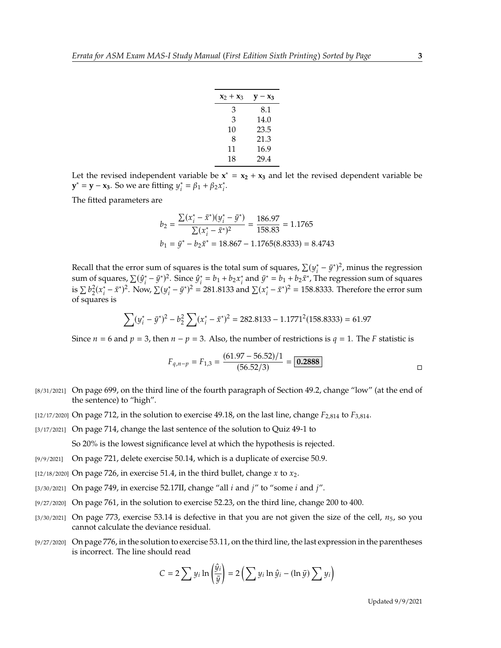| $x_2 + x_3$ | $y - x_3$ |
|-------------|-----------|
| 3           | 8.1       |
| 3           | 14.0      |
| 10          | 23.5      |
| 8           | 21.3      |
| 11          | 16.9      |
| 18          | 29.4      |

Let the revised independent variable be  $x^* = x_2 + x_3$  and let the revised dependent variable be **y**<sup>\*</sup> = **y** − **x**<sub>3</sub>. So we are fitting  $y_i^* = \beta_1 + \beta_2 x_i^*$ .

The fitted parameters are

$$
b_2 = \frac{\sum (x_i^* - \bar{x}^*)(y_i^* - \bar{y}^*)}{\sum (x_i^* - \bar{x}^*)^2} = \frac{186.97}{158.83} = 1.1765
$$
  

$$
b_1 = \bar{y}^* - b_2 \bar{x}^* = 18.867 - 1.1765(8.8333) = 8.4743
$$

Recall that the error sum of squares is the total sum of squares,  $\sum (y_i^* - \bar{y}^*)^2$ , minus the regression<br>sum of squares,  $\sum (\hat{y}_i^* - \bar{y}_i^*)^2$ . Since  $\hat{y}_i^* = h + h \hat{y}_i^*$  and  $\bar{y}_i^* = h + h \bar{y}_i^*$ . The regression sum of squares,  $\sum (\hat{y}_i^* - \bar{y}^*)^2$ . Since  $\hat{y}_i^* = b_1 + b_2 x_i^*$  and  $\bar{y}^* = b_1 + b_2 \bar{x}^*$ , The regression sum of squares is  $\sum b_2^2 (x_i^* - \bar{x}^*)^2$ . Now,  $\sum (y_i^* - \bar{y}^*)^2 = 281.8133$  and  $\sum (x_i^* - \bar{x}^*)^2 = 158.8333$ . Therefore the error sum  $\sum_{i=1}^{n}$  of squares is

$$
\sum_{i}(y_i^* - \bar{y}^*)^2 - b_2^2 \sum_{i}(x_i^* - \bar{x}^*)^2 = 282.8133 - 1.1771^2(158.8333) = 61.97
$$

Since  $n = 6$  and  $p = 3$ , then  $n - p = 3$ . Also, the number of restrictions is  $q = 1$ . The F statistic is

$$
F_{q,n-p} = F_{1,3} = \frac{(61.97 - 56.52)/1}{(56.52/3)} = \boxed{0.2888}
$$

- [8/31/2021] On page 699, on the third line of the fourth paragraph of Section 49.2, change "low" (at the end of the sentence) to "high".
- [12/17/2020] On page 712, in the solution to exercise 49.18, on the last line, change  $F_{2,814}$  to  $F_{3,814}$ .
- [3/17/2021] On page 714, change the last sentence of the solution to Quiz 49-1 to So 20% is the lowest significance level at which the hypothesis is rejected.
- [9/9/2021] On page 721, delete exercise 50.14, which is a duplicate of exercise 50.9.
- [12/18/2020] On page 726, in exercise 51.4, in the third bullet, change  $x$  to  $x_2$ .
- [3/30/2021] On page 749, in exercise 52.17II, change "all  $i$  and  $j$ " to "some  $i$  and  $j$ ".
- [9/27/2020] On page 761, in the solution to exercise 52.23, on the third line, change 200 to 400.
- [3/30/2021] On page 773, exercise 53.14 is defective in that you are not given the size of the cell,  $n_5$ , so you cannot calculate the deviance residual.
- [9/27/2020] On page 776, in the solution to exercise 53.11, on the third line, the last expression in the parentheses is incorrect. The line should read

$$
C = 2 \sum y_i \ln \left( \frac{\hat{y}_i}{\bar{y}} \right) = 2 \left( \sum y_i \ln \hat{y}_i - (\ln \bar{y}) \sum y_i \right)
$$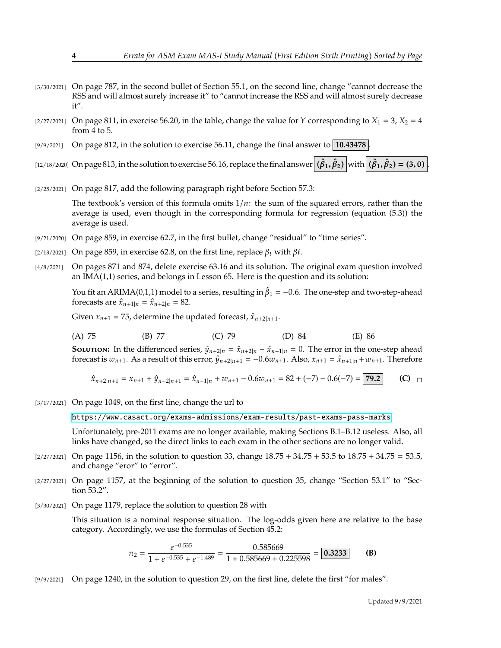- [3/30/2021] On page 787, in the second bullet of Section 55.1, on the second line, change "cannot decrease the RSS and will almost surely increase it" to "cannot increase the RSS and will almost surely decrease it".
- [2/27/2021] On page 811, in exercise 56.20, in the table, change the value for Y corresponding to  $X_1 = 3$ ,  $X_2 = 4$ from 4 to 5.
- [9/9/2021] On page 812, in the solution to exercise 56.11, change the final answer to **10.43478**

[12/18/2020] On page 813, in the solution to exercise 56.16, replace the final answer  $(\hat{\beta}_1, \hat{\beta}_2)$  with  $(\hat{\beta}_1, \hat{\beta}_2) = (3, 0)$ .

[2/25/2021] On page 817, add the following paragraph right before Section 57.3:

The textbook's version of this formula omits  $1/n$ : the sum of the squared errors, rather than the average is used, even though in the corresponding formula for regression (equation (5.3)) the average is used.

- [9/21/2020] On page 859, in exercise 62.7, in the first bullet, change "residual" to "time series".
- [2/13/2021] On page 859, in exercise 62.8, on the first line, replace  $\beta_t$  with  $\beta t$ .
- [4/8/2021] On pages 871 and 874, delete exercise 63.16 and its solution. The original exam question involved an IMA(1,1) series, and belongs in Lesson 65. Here is the question and its solution:

You fit an ARIMA(0,1,1) model to a series, resulting in  $\hat{\beta}_1 = -0.6$ . The one-step and two-step-ahead forecasts are  $\hat{x}$ ,  $y_1 = \hat{x}$ ,  $y_2 = 82$ forecasts are  $\hat{x}_{n+1|n} = \hat{x}_{n+2|n} = 82$ .

Given  $x_{n+1} = 75$ , determine the updated forecast,  $\hat{x}_{n+2|n+1}$ .

(A) 75 (B) 77 (C) 79 (D) 84 (E) 86

**SOLUTION:** In the differenced series,  $\hat{y}_{n+2|n} = \hat{x}_{n+2|n} - \hat{x}_{n+1|n} = 0$ . The error in the one-step ahead forecast is  $w_{n+1}$ . As a result of this error,  $\hat{y}_{n+2|n+1} = -0.6w_{n+1}$ . Also,  $x_{n+1} = \hat{x}_{n+1|n} + w_{n+1}$ . Therefore

$$
\hat{x}_{n+2|n+1} = x_{n+1} + \hat{y}_{n+2|n+1} = \hat{x}_{n+1|n} + w_{n+1} - 0.6w_{n+1} = 82 + (-7) - 0.6(-7) = 79.2
$$
 (C)  $\Box$ 

[3/17/2021] On page 1049, on the first line, change the url to

<https://www.casact.org/exams-admissions/exam-results/past-exams-pass-marks>.

Unfortunately, pre-2011 exams are no longer available, making Sections B.1–B.12 useless. Also, all links have changed, so the direct links to each exam in the other sections are no longer valid.

- $[2/27/2021]$  On page 1156, in the solution to question 33, change  $18.75 + 34.75 + 53.5$  to  $18.75 + 34.75 = 53.5$ , and change "eror" to "error".
- [2/27/2021] On page 1157, at the beginning of the solution to question 35, change "Section 53.1" to "Section 53.2".
- [3/30/2021] On page 1179, replace the solution to question 28 with

This situation is a nominal response situation. The log-odds given here are relative to the base category. Accordingly, we use the formulas of Section 45.2:

$$
\pi_2 = \frac{e^{-0.535}}{1 + e^{-0.535} + e^{-1.489}} = \frac{0.585669}{1 + 0.585669 + 0.225598} = 0.3233
$$
 (B)

[9/9/2021] On page 1240, in the solution to question 29, on the first line, delete the first "for males".